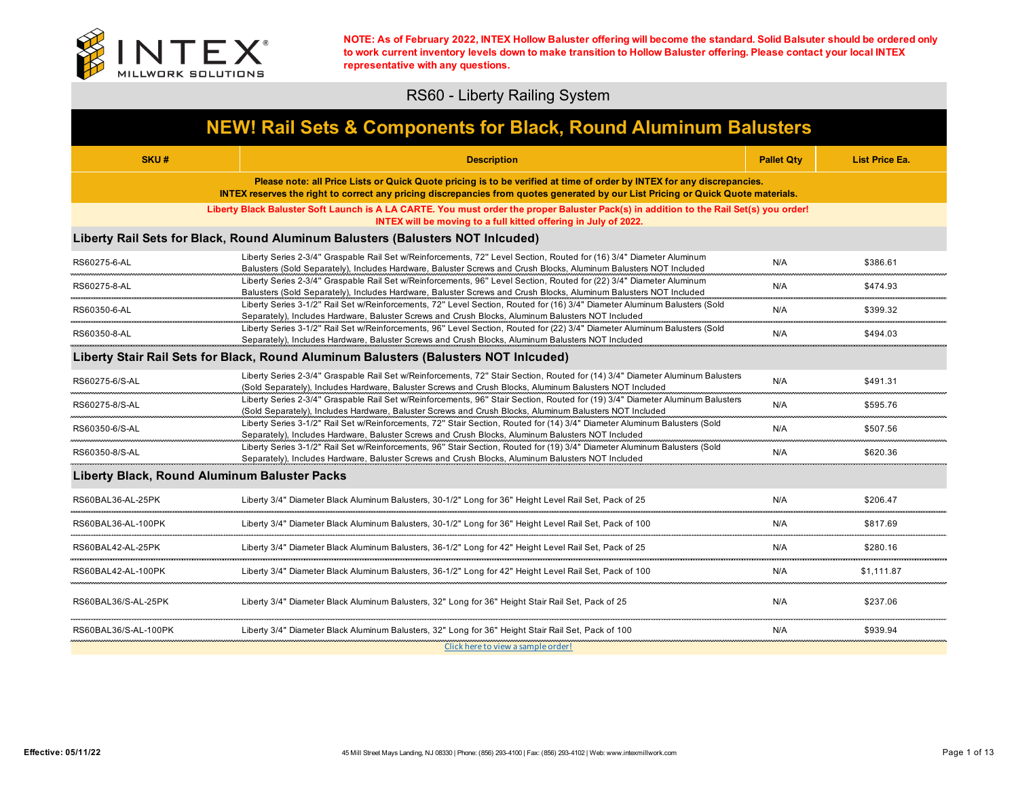

## RS60 - Liberty Railing System

| <b>NEW! Rail Sets &amp; Components for Black, Round Aluminum Balusters</b> |                                                                                                                                                                                                                                                             |                   |                       |
|----------------------------------------------------------------------------|-------------------------------------------------------------------------------------------------------------------------------------------------------------------------------------------------------------------------------------------------------------|-------------------|-----------------------|
| SKU#                                                                       | <b>Description</b>                                                                                                                                                                                                                                          | <b>Pallet Qty</b> | <b>List Price Ea.</b> |
|                                                                            | Please note: all Price Lists or Quick Quote pricing is to be verified at time of order by INTEX for any discrepancies.<br>INTEX reserves the right to correct any pricing discrepancies from quotes generated by our List Pricing or Quick Quote materials. |                   |                       |
|                                                                            | Liberty Black Baluster Soft Launch is A LA CARTE. You must order the proper Baluster Pack(s) in addition to the Rail Set(s) you order!<br>INTEX will be moving to a full kitted offering in July of 2022.                                                   |                   |                       |
|                                                                            | Liberty Rail Sets for Black, Round Aluminum Balusters (Balusters NOT Inlcuded)                                                                                                                                                                              |                   |                       |
| RS60275-6-AL                                                               | Liberty Series 2-3/4" Graspable Rail Set w/Reinforcements, 72" Level Section, Routed for (16) 3/4" Diameter Aluminum<br>Balusters (Sold Separately), Includes Hardware, Baluster Screws and Crush Blocks, Aluminum Balusters NOT Included                   | N/A               | \$386.61              |
| RS60275-8-AL                                                               | Liberty Series 2-3/4" Graspable Rail Set w/Reinforcements, 96" Level Section, Routed for (22) 3/4" Diameter Aluminum<br>Balusters (Sold Separately), Includes Hardware, Baluster Screws and Crush Blocks, Aluminum Balusters NOT Included                   | N/A               | \$474.93              |
| RS60350-6-AL                                                               | Liberty Series 3-1/2" Rail Set w/Reinforcements, 72" Level Section, Routed for (16) 3/4" Diameter Aluminum Balusters (Sold<br>Separately), Includes Hardware, Baluster Screws and Crush Blocks, Aluminum Balusters NOT Included                             | N/A               | \$399.32              |
| RS60350-8-AL                                                               | Liberty Series 3-1/2" Rail Set w/Reinforcements, 96" Level Section, Routed for (22) 3/4" Diameter Aluminum Balusters (Sold<br>Separately), Includes Hardware, Baluster Screws and Crush Blocks, Aluminum Balusters NOT Included                             | N/A               | \$494.03              |
|                                                                            | Liberty Stair Rail Sets for Black, Round Aluminum Balusters (Balusters NOT Inlcuded)                                                                                                                                                                        |                   |                       |
| RS60275-6/S-AL                                                             | Liberty Series 2-3/4" Graspable Rail Set w/Reinforcements, 72" Stair Section, Routed for (14) 3/4" Diameter Aluminum Balusters<br>(Sold Separately), Includes Hardware, Baluster Screws and Crush Blocks, Aluminum Balusters NOT Included                   | N/A               | \$491.31              |
| RS60275-8/S-AL                                                             | Liberty Series 2-3/4" Graspable Rail Set w/Reinforcements, 96" Stair Section, Routed for (19) 3/4" Diameter Aluminum Balusters<br>(Sold Separately), Includes Hardware, Baluster Screws and Crush Blocks, Aluminum Balusters NOT Included                   | N/A               | \$595.76              |
| RS60350-6/S-AL                                                             | Liberty Series 3-1/2" Rail Set w/Reinforcements, 72" Stair Section, Routed for (14) 3/4" Diameter Aluminum Balusters (Sold<br>Separately), Includes Hardware, Baluster Screws and Crush Blocks, Aluminum Balusters NOT Included                             | N/A               | \$507.56              |
| RS60350-8/S-AL<br>----------------                                         | Liberty Series 3-1/2" Rail Set w/Reinforcements, 96" Stair Section, Routed for (19) 3/4" Diameter Aluminum Balusters (Sold<br>Separately), Includes Hardware, Baluster Screws and Crush Blocks, Aluminum Balusters NOT Included                             | N/A               | \$620.36              |
| Liberty Black, Round Aluminum Baluster Packs                               |                                                                                                                                                                                                                                                             |                   |                       |
| RS60BAL36-AL-25PK                                                          | Liberty 3/4" Diameter Black Aluminum Balusters, 30-1/2" Long for 36" Height Level Rail Set, Pack of 25                                                                                                                                                      | N/A               | \$206.47              |
| RS60BAL36-AL-100PK<br>                                                     | Liberty 3/4" Diameter Black Aluminum Balusters. 30-1/2" Long for 36" Height Level Rail Set. Pack of 100                                                                                                                                                     | N/A               | \$817.69              |
| RS60BAL42-AL-25PK                                                          | Liberty 3/4" Diameter Black Aluminum Balusters, 36-1/2" Long for 42" Height Level Rail Set, Pack of 25                                                                                                                                                      | N/A               | \$280.16              |
| RS60BAL42-AL-100PK                                                         | Liberty 3/4" Diameter Black Aluminum Balusters, 36-1/2" Long for 42" Height Level Rail Set, Pack of 100                                                                                                                                                     | N/A               | \$1,111.87            |
| RS60BAL36/S-AL-25PK                                                        | Liberty 3/4" Diameter Black Aluminum Balusters, 32" Long for 36" Height Stair Rail Set, Pack of 25                                                                                                                                                          | N/A               | \$237.06              |
| RS60BAL36/S-AL-100PK                                                       | Liberty 3/4" Diameter Black Aluminum Balusters, 32" Long for 36" Height Stair Rail Set, Pack of 100<br>Click here to view a sample order!                                                                                                                   | N/A               | \$939.94              |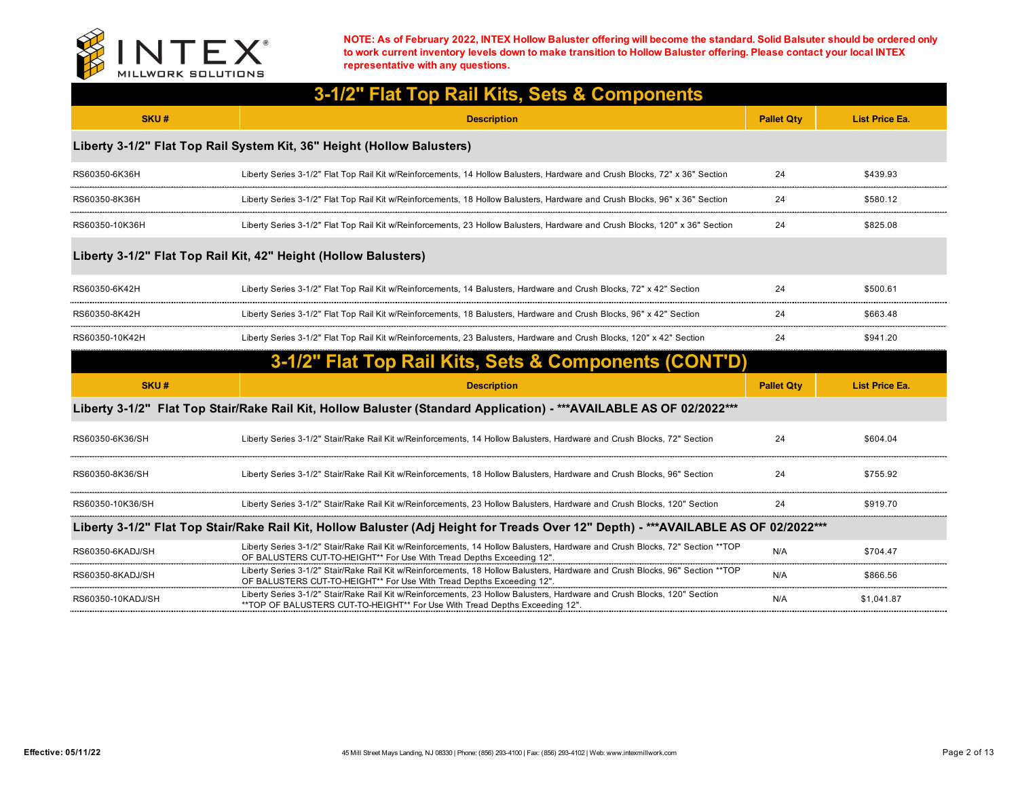

| 3-1/2" Flat Top Rail Kits, Sets & Components |                                                                                                                                                                                                         |                   |                       |  |
|----------------------------------------------|---------------------------------------------------------------------------------------------------------------------------------------------------------------------------------------------------------|-------------------|-----------------------|--|
| SKU#                                         | <b>Description</b>                                                                                                                                                                                      | <b>Pallet Qtv</b> | <b>List Price Ea.</b> |  |
|                                              | Liberty 3-1/2" Flat Top Rail System Kit, 36" Height (Hollow Balusters)                                                                                                                                  |                   |                       |  |
| RS60350-6K36H                                | Liberty Series 3-1/2" Flat Top Rail Kit w/Reinforcements, 14 Hollow Balusters, Hardware and Crush Blocks, 72" x 36" Section                                                                             | 24                | \$439.93              |  |
| RS60350-8K36H                                | Liberty Series 3-1/2" Flat Top Rail Kit w/Reinforcements, 18 Hollow Balusters, Hardware and Crush Blocks, 96" x 36" Section                                                                             | 24                | \$580.12              |  |
| RS60350-10K36H                               | Liberty Series 3-1/2" Flat Top Rail Kit w/Reinforcements, 23 Hollow Balusters, Hardware and Crush Blocks, 120" x 36" Section                                                                            | 24                | \$825.08              |  |
|                                              | Liberty 3-1/2" Flat Top Rail Kit, 42" Height (Hollow Balusters)                                                                                                                                         |                   |                       |  |
| RS60350-6K42H                                | Liberty Series 3-1/2" Flat Top Rail Kit w/Reinforcements, 14 Balusters, Hardware and Crush Blocks, 72" x 42" Section                                                                                    | 24                | \$500.61              |  |
| RS60350-8K42H                                | Liberty Series 3-1/2" Flat Top Rail Kit w/Reinforcements, 18 Balusters, Hardware and Crush Blocks, 96" x 42" Section                                                                                    | 24                | \$663.48              |  |
| RS60350-10K42H                               | Liberty Series 3-1/2" Flat Top Rail Kit w/Reinforcements, 23 Balusters, Hardware and Crush Blocks, 120" x 42" Section                                                                                   | 24                | \$941.20              |  |
|                                              | 3-1/2" Flat Top Rail Kits, Sets & Components (CONT'D)                                                                                                                                                   |                   |                       |  |
| SKU#                                         | <b>Description</b>                                                                                                                                                                                      | <b>Pallet Qtv</b> | <b>List Price Ea.</b> |  |
|                                              | Liberty 3-1/2" Flat Top Stair/Rake Rail Kit, Hollow Baluster (Standard Application) - *** AVAILABLE AS OF 02/2022 ***                                                                                   |                   |                       |  |
| RS60350-6K36/SH                              | Liberty Series 3-1/2" Stair/Rake Rail Kit w/Reinforcements, 14 Hollow Balusters, Hardware and Crush Blocks, 72" Section                                                                                 | 24                | \$604.04              |  |
| RS60350-8K36/SH                              | Liberty Series 3-1/2" Stair/Rake Rail Kit w/Reinforcements, 18 Hollow Balusters, Hardware and Crush Blocks, 96" Section                                                                                 | 24                | \$755.92              |  |
| RS60350-10K36/SH                             | Liberty Series 3-1/2" Stair/Rake Rail Kit w/Reinforcements, 23 Hollow Balusters, Hardware and Crush Blocks, 120" Section                                                                                | 24                | \$919.70              |  |
|                                              | Liberty 3-1/2" Flat Top Stair/Rake Rail Kit, Hollow Baluster (Adj Height for Treads Over 12" Depth) - ***AVAILABLE AS OF 02/2022 ***                                                                    |                   |                       |  |
| RS60350-6KADJ/SH                             | Liberty Series 3-1/2" Stair/Rake Rail Kit w/Reinforcements, 14 Hollow Balusters, Hardware and Crush Blocks, 72" Section **TOP<br>OF BALUSTERS CUT-TO-HEIGHT** For Use With Tread Depths Exceeding 12".  | N/A               | \$704.47              |  |
| RS60350-8KADJ/SH                             | Liberty Series 3-1/2" Stair/Rake Rail Kit w/Reinforcements, 18 Hollow Balusters, Hardware and Crush Blocks, 96" Section ** TOP<br>OF BALUSTERS CUT-TO-HEIGHT** For Use With Tread Depths Exceeding 12". | N/A               | \$866.56              |  |
| RS60350-10KADJ/SH                            | Liberty Series 3-1/2" Stair/Rake Rail Kit w/Reinforcements, 23 Hollow Balusters, Hardware and Crush Blocks, 120" Section<br>**TOP OF BALUSTERS CUT-TO-HEIGHT** For Use With Tread Depths Exceeding 12". | N/A               | \$1,041.87            |  |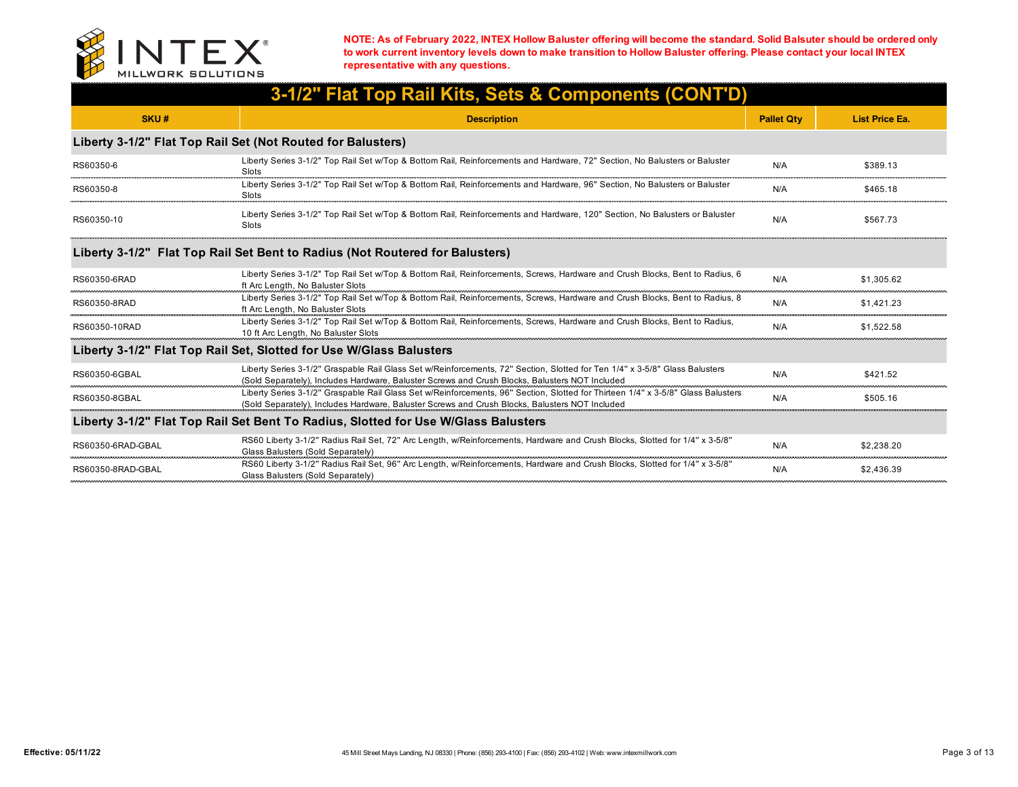

|                   | 3-1/2" Flat Top Rail Kits, Sets & Components (CONT'D)                                                                                                                                                                              |                   |                       |
|-------------------|------------------------------------------------------------------------------------------------------------------------------------------------------------------------------------------------------------------------------------|-------------------|-----------------------|
| SKU#              | <b>Description</b>                                                                                                                                                                                                                 | <b>Pallet Qty</b> | <b>List Price Ea.</b> |
|                   | Liberty 3-1/2" Flat Top Rail Set (Not Routed for Balusters)                                                                                                                                                                        |                   |                       |
| RS60350-6         | Liberty Series 3-1/2" Top Rail Set w/Top & Bottom Rail, Reinforcements and Hardware, 72" Section, No Balusters or Baluster<br>Slots                                                                                                | N/A               | \$389.13              |
| RS60350-8         | Liberty Series 3-1/2" Top Rail Set w/Top & Bottom Rail, Reinforcements and Hardware, 96" Section, No Balusters or Baluster<br>Slots                                                                                                | N/A               | \$465.18              |
| RS60350-10        | Liberty Series 3-1/2" Top Rail Set w/Top & Bottom Rail, Reinforcements and Hardware, 120" Section, No Balusters or Baluster<br>Slots                                                                                               | N/A               | \$567.73              |
|                   | Liberty 3-1/2" Flat Top Rail Set Bent to Radius (Not Routered for Balusters)                                                                                                                                                       |                   |                       |
| RS60350-6RAD      | Liberty Series 3-1/2" Top Rail Set w/Top & Bottom Rail, Reinforcements, Screws, Hardware and Crush Blocks, Bent to Radius, 6<br>ft Arc Length, No Baluster Slots                                                                   | N/A               | \$1.305.62            |
| RS60350-8RAD      | Liberty Series 3-1/2" Top Rail Set w/Top & Bottom Rail, Reinforcements, Screws, Hardware and Crush Blocks, Bent to Radius, 8<br>ft Arc Length, No Baluster Slots                                                                   | N/A               | \$1.421.23            |
| RS60350-10RAD     | Liberty Series 3-1/2" Top Rail Set w/Top & Bottom Rail, Reinforcements, Screws, Hardware and Crush Blocks, Bent to Radius,<br>10 ft Arc Length, No Baluster Slots                                                                  | N/A               | \$1.522.58            |
|                   | Liberty 3-1/2" Flat Top Rail Set, Slotted for Use W/Glass Balusters                                                                                                                                                                |                   |                       |
| RS60350-6GBAL     | Liberty Series 3-1/2" Graspable Rail Glass Set w/Reinforcements, 72" Section, Slotted for Ten 1/4" x 3-5/8" Glass Balusters<br>(Sold Separately), Includes Hardware, Baluster Screws and Crush Blocks, Balusters NOT Included      | N/A               | \$421.52              |
| RS60350-8GBAL     | Liberty Series 3-1/2" Graspable Rail Glass Set w/Reinforcements, 96" Section, Slotted for Thirteen 1/4" x 3-5/8" Glass Balusters<br>(Sold Separately), Includes Hardware, Baluster Screws and Crush Blocks, Balusters NOT Included | N/A               | \$505.16              |
|                   | Liberty 3-1/2" Flat Top Rail Set Bent To Radius, Slotted for Use W/Glass Balusters                                                                                                                                                 |                   |                       |
| RS60350-6RAD-GBAL | RS60 Liberty 3-1/2" Radius Rail Set, 72" Arc Length, w/Reinforcements, Hardware and Crush Blocks, Slotted for 1/4" x 3-5/8"<br>Glass Balusters (Sold Separately)                                                                   | N/A               | \$2.238.20            |
| RS60350-8RAD-GBAL | RS60 Liberty 3-1/2" Radius Rail Set, 96" Arc Length, w/Reinforcements, Hardware and Crush Blocks, Slotted for 1/4" x 3-5/8"<br>Glass Balusters (Sold Separately)                                                                   | N/A               | \$2.436.39            |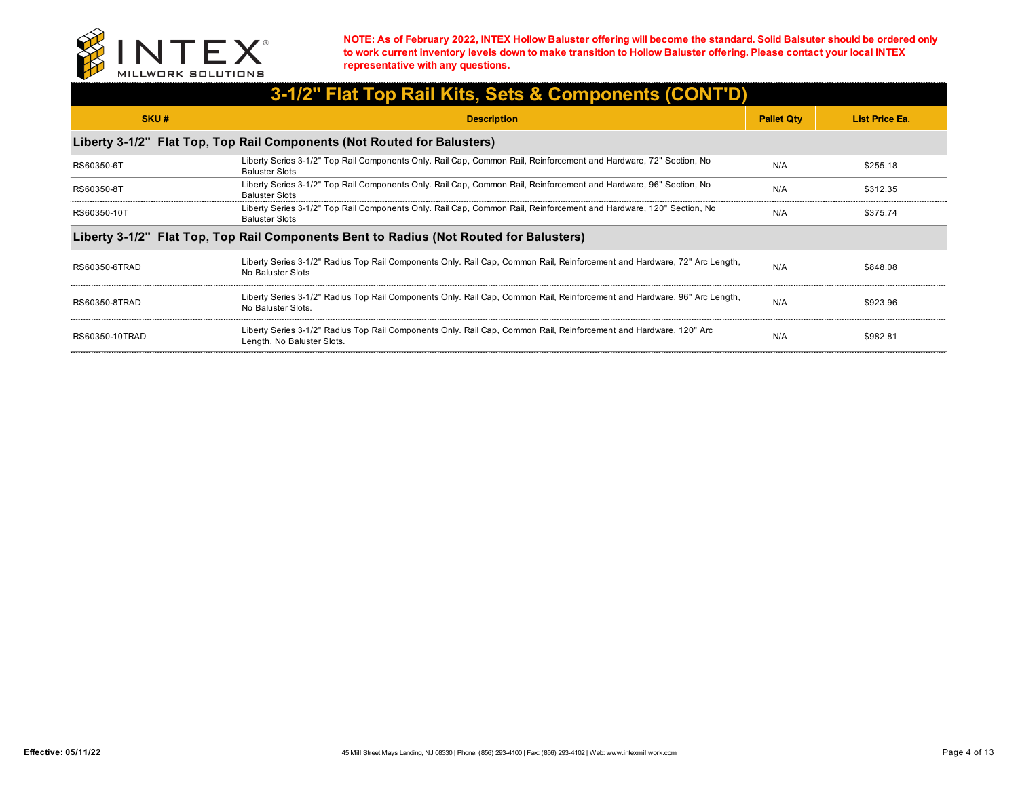

| 3-1/2" Flat Top Rail Kits, Sets & Components (CONT'D) |                                                                                                                                                  |                   |                       |  |
|-------------------------------------------------------|--------------------------------------------------------------------------------------------------------------------------------------------------|-------------------|-----------------------|--|
| SKU#                                                  | <b>Description</b>                                                                                                                               | <b>Pallet Qty</b> | <b>List Price Ea.</b> |  |
|                                                       | Liberty 3-1/2" Flat Top, Top Rail Components (Not Routed for Balusters)                                                                          |                   |                       |  |
| RS60350-6T                                            | Liberty Series 3-1/2" Top Rail Components Only. Rail Cap, Common Rail, Reinforcement and Hardware, 72" Section, No<br><b>Baluster Slots</b>      | N/A               | \$255.18              |  |
| RS60350-8T                                            | Liberty Series 3-1/2" Top Rail Components Only. Rail Cap, Common Rail, Reinforcement and Hardware, 96" Section, No<br><b>Baluster Slots</b>      | N/A               | \$312.35              |  |
| RS60350-10T                                           | Liberty Series 3-1/2" Top Rail Components Only. Rail Cap, Common Rail, Reinforcement and Hardware, 120" Section, No<br><b>Baluster Slots</b>     | N/A               | \$375.74              |  |
|                                                       | Liberty 3-1/2" Flat Top, Top Rail Components Bent to Radius (Not Routed for Balusters)                                                           |                   |                       |  |
| RS60350-6TRAD                                         | Liberty Series 3-1/2" Radius Top Rail Components Only. Rail Cap, Common Rail, Reinforcement and Hardware, 72" Arc Length,<br>No Baluster Slots   | N/A               | \$848.08              |  |
| RS60350-8TRAD                                         | Liberty Series 3-1/2" Radius Top Rail Components Only. Rail Cap, Common Rail, Reinforcement and Hardware, 96" Arc Length,<br>No Baluster Slots.  | N/A               | \$923.96              |  |
| RS60350-10TRAD                                        | Liberty Series 3-1/2" Radius Top Rail Components Only. Rail Cap, Common Rail, Reinforcement and Hardware, 120" Arc<br>Length, No Baluster Slots. | N/A               | \$982.81              |  |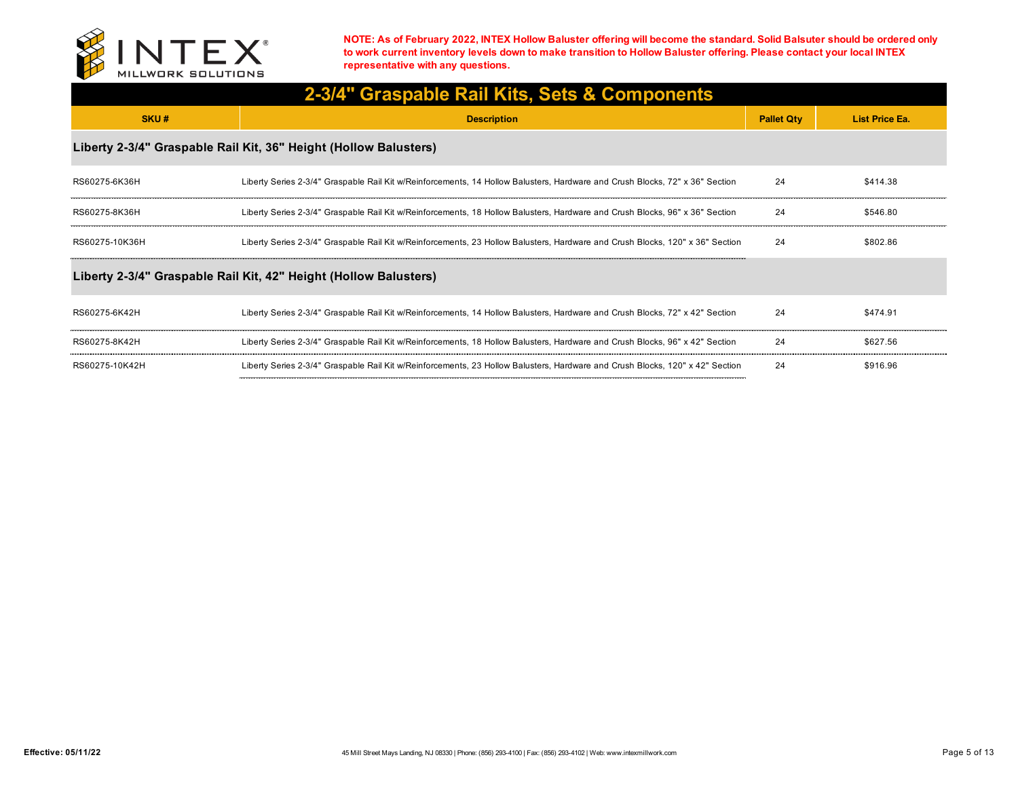

| 2-3/4" Graspable Rail Kits, Sets & Components |                                                                                                                               |                   |                       |  |
|-----------------------------------------------|-------------------------------------------------------------------------------------------------------------------------------|-------------------|-----------------------|--|
| SKU#                                          | <b>Description</b>                                                                                                            | <b>Pallet Qty</b> | <b>List Price Ea.</b> |  |
|                                               | Liberty 2-3/4" Graspable Rail Kit, 36" Height (Hollow Balusters)                                                              |                   |                       |  |
| RS60275-6K36H                                 | Liberty Series 2-3/4" Graspable Rail Kit w/Reinforcements, 14 Hollow Balusters, Hardware and Crush Blocks, 72" x 36" Section  | 24                | \$414.38              |  |
| RS60275-8K36H                                 | Liberty Series 2-3/4" Graspable Rail Kit w/Reinforcements, 18 Hollow Balusters, Hardware and Crush Blocks, 96" x 36" Section  | 24                | \$546.80              |  |
| RS60275-10K36H                                | Liberty Series 2-3/4" Graspable Rail Kit w/Reinforcements, 23 Hollow Balusters, Hardware and Crush Blocks, 120" x 36" Section | 24                | \$802.86              |  |
|                                               | Liberty 2-3/4" Graspable Rail Kit, 42" Height (Hollow Balusters)                                                              |                   |                       |  |
| RS60275-6K42H                                 | Liberty Series 2-3/4" Graspable Rail Kit w/Reinforcements, 14 Hollow Balusters, Hardware and Crush Blocks, 72" x 42" Section  | 24                | \$474.91              |  |
| RS60275-8K42H                                 | Liberty Series 2-3/4" Graspable Rail Kit w/Reinforcements, 18 Hollow Balusters, Hardware and Crush Blocks, 96" x 42" Section  | 24                | \$627.56              |  |
| RS60275-10K42H                                | Liberty Series 2-3/4" Graspable Rail Kit w/Reinforcements, 23 Hollow Balusters, Hardware and Crush Blocks, 120" x 42" Section | 24                | \$916.96              |  |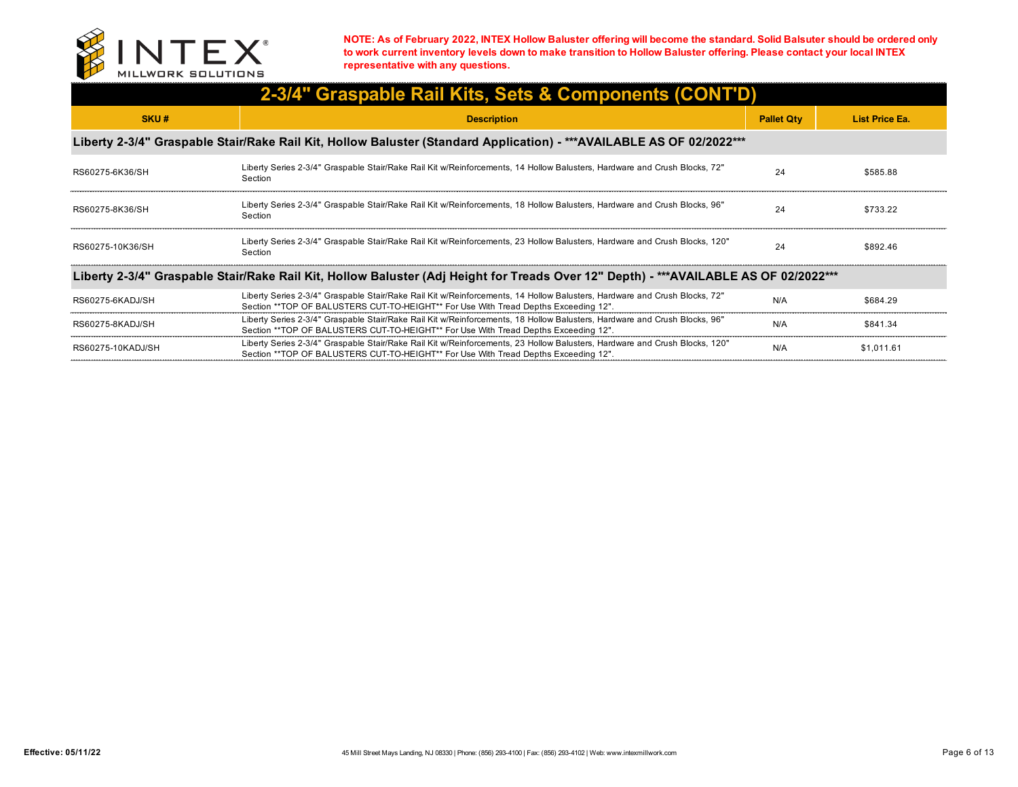

| 2-3/4" Graspable Rail Kits, Sets & Components (CONT'D)                                                                               |                                                                                                                                                                                                                   |                   |                |  |
|--------------------------------------------------------------------------------------------------------------------------------------|-------------------------------------------------------------------------------------------------------------------------------------------------------------------------------------------------------------------|-------------------|----------------|--|
| SKU#                                                                                                                                 | <b>Description</b>                                                                                                                                                                                                | <b>Pallet Qty</b> | List Price Ea. |  |
|                                                                                                                                      | Liberty 2-3/4" Graspable Stair/Rake Rail Kit, Hollow Baluster (Standard Application) - ***AVAILABLE AS OF 02/2022***                                                                                              |                   |                |  |
| RS60275-6K36/SH                                                                                                                      | Liberty Series 2-3/4" Graspable Stair/Rake Rail Kit w/Reinforcements, 14 Hollow Balusters, Hardware and Crush Blocks, 72"<br>Section                                                                              | 24                | \$585.88       |  |
| RS60275-8K36/SH                                                                                                                      | Liberty Series 2-3/4" Graspable Stair/Rake Rail Kit w/Reinforcements, 18 Hollow Balusters, Hardware and Crush Blocks, 96"<br>Section                                                                              | 24                | \$733.22       |  |
| RS60275-10K36/SH                                                                                                                     | Liberty Series 2-3/4" Graspable Stair/Rake Rail Kit w/Reinforcements, 23 Hollow Balusters, Hardware and Crush Blocks, 120"<br>Section                                                                             | 24                | \$892.46       |  |
| Liberty 2-3/4" Graspable Stair/Rake Rail Kit, Hollow Baluster (Adj Height for Treads Over 12" Depth) - ***AVAILABLE AS OF 02/2022*** |                                                                                                                                                                                                                   |                   |                |  |
| RS60275-6KADJ/SH                                                                                                                     | Liberty Series 2-3/4" Graspable Stair/Rake Rail Kit w/Reinforcements, 14 Hollow Balusters, Hardware and Crush Blocks, 72"<br>Section **TOP OF BALUSTERS CUT-TO-HEIGHT** For Use With Tread Depths Exceeding 12".  | N/A               | \$684.29       |  |
| RS60275-8KADJ/SH                                                                                                                     | Liberty Series 2-3/4" Graspable Stair/Rake Rail Kit w/Reinforcements, 18 Hollow Balusters, Hardware and Crush Blocks, 96"<br>Section **TOP OF BALUSTERS CUT-TO-HEIGHT** For Use With Tread Depths Exceeding 12".  | N/A               | \$841.34       |  |
| RS60275-10KADJ/SH                                                                                                                    | Liberty Series 2-3/4" Graspable Stair/Rake Rail Kit w/Reinforcements, 23 Hollow Balusters, Hardware and Crush Blocks, 120"<br>Section **TOP OF BALUSTERS CUT-TO-HEIGHT** For Use With Tread Depths Exceeding 12". | N/A               | \$1.011.61     |  |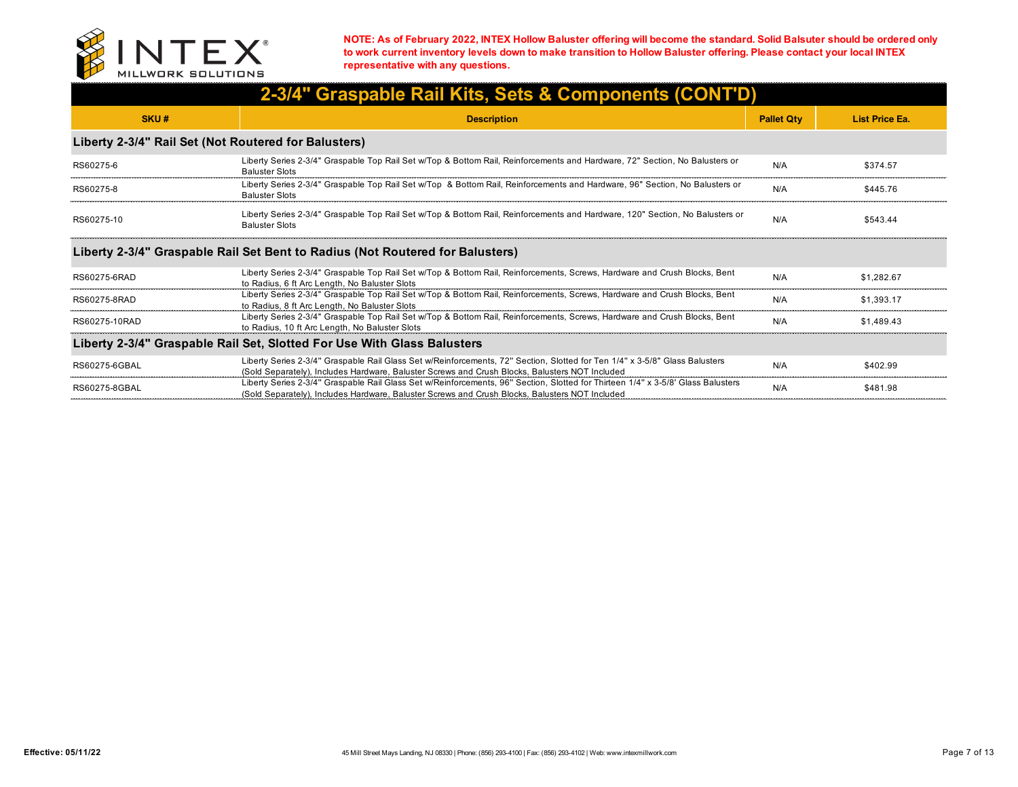

| 2-3/4" Graspable Rail Kits, Sets & Components (CONT'D) |                                                                                                                                                                                                                                    |                   |                       |  |
|--------------------------------------------------------|------------------------------------------------------------------------------------------------------------------------------------------------------------------------------------------------------------------------------------|-------------------|-----------------------|--|
| SKU#                                                   | <b>Description</b>                                                                                                                                                                                                                 | <b>Pallet Qty</b> | <b>List Price Ea.</b> |  |
| Liberty 2-3/4" Rail Set (Not Routered for Balusters)   |                                                                                                                                                                                                                                    |                   |                       |  |
| RS60275-6                                              | Liberty Series 2-3/4" Graspable Top Rail Set w/Top & Bottom Rail, Reinforcements and Hardware, 72" Section, No Balusters or<br><b>Baluster Slots</b>                                                                               | N/A               | \$374.57              |  |
| RS60275-8                                              | Liberty Series 2-3/4" Graspable Top Rail Set w/Top & Bottom Rail, Reinforcements and Hardware, 96" Section, No Balusters or<br><b>Baluster Slots</b>                                                                               | N/A               | \$445.76              |  |
| RS60275-10                                             | Liberty Series 2-3/4" Graspable Top Rail Set w/Top & Bottom Rail, Reinforcements and Hardware, 120" Section, No Balusters or<br><b>Baluster Slots</b>                                                                              | N/A               | \$543.44              |  |
|                                                        | Liberty 2-3/4" Graspable Rail Set Bent to Radius (Not Routered for Balusters)                                                                                                                                                      |                   |                       |  |
| RS60275-6RAD                                           | Liberty Series 2-3/4" Graspable Top Rail Set w/Top & Bottom Rail, Reinforcements, Screws, Hardware and Crush Blocks, Bent<br>to Radius, 6 ft Arc Length, No Baluster Slots                                                         | N/A               | \$1.282.67            |  |
| RS60275-8RAD                                           | Liberty Series 2-3/4" Graspable Top Rail Set w/Top & Bottom Rail, Reinforcements, Screws, Hardware and Crush Blocks, Bent<br>to Radius, 8 ft Arc Length, No Baluster Slots                                                         | N/A               | \$1.393.17            |  |
| RS60275-10RAD                                          | Liberty Series 2-3/4" Graspable Top Rail Set w/Top & Bottom Rail, Reinforcements, Screws, Hardware and Crush Blocks, Bent<br>to Radius, 10 ft Arc Length, No Baluster Slots                                                        | N/A               | \$1,489.43            |  |
|                                                        | Liberty 2-3/4" Graspable Rail Set, Slotted For Use With Glass Balusters                                                                                                                                                            |                   |                       |  |
| RS60275-6GBAL                                          | Liberty Series 2-3/4" Graspable Rail Glass Set w/Reinforcements, 72" Section, Slotted for Ten 1/4" x 3-5/8" Glass Balusters<br>(Sold Separately), Includes Hardware, Baluster Screws and Crush Blocks, Balusters NOT Included      | N/A               | \$402.99              |  |
| RS60275-8GBAL                                          | Liberty Series 2-3/4" Graspable Rail Glass Set w/Reinforcements, 96" Section, Slotted for Thirteen 1/4" x 3-5/8' Glass Balusters<br>(Sold Separately), Includes Hardware, Baluster Screws and Crush Blocks, Balusters NOT Included | N/A               | \$481.98              |  |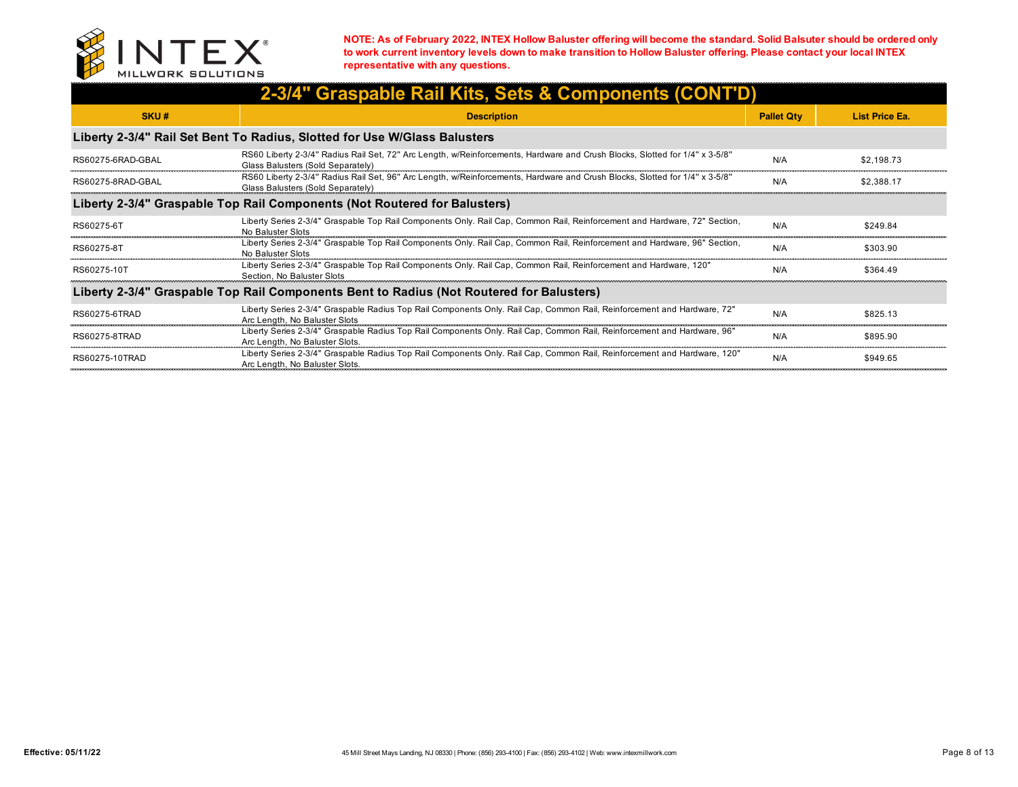

| 2-3/4" Graspable Rail Kits, Sets & Components (CONT'D) |                                                                                                                                                                  |                   |                |  |
|--------------------------------------------------------|------------------------------------------------------------------------------------------------------------------------------------------------------------------|-------------------|----------------|--|
| SKU#                                                   | <b>Description</b>                                                                                                                                               | <b>Pallet Qty</b> | List Price Ea. |  |
|                                                        | Liberty 2-3/4" Rail Set Bent To Radius, Slotted for Use W/Glass Balusters                                                                                        |                   |                |  |
| RS60275-6RAD-GBAL                                      | RS60 Liberty 2-3/4" Radius Rail Set, 72" Arc Length, w/Reinforcements, Hardware and Crush Blocks, Slotted for 1/4" x 3-5/8"<br>Glass Balusters (Sold Separately) | N/A               | \$2,198.73     |  |
| RS60275-8RAD-GBAL                                      | RS60 Liberty 2-3/4" Radius Rail Set, 96" Arc Length, w/Reinforcements, Hardware and Crush Blocks, Slotted for 1/4" x 3-5/8"<br>Glass Balusters (Sold Separately) | N/A               | \$2.388.17     |  |
|                                                        | Liberty 2-3/4" Graspable Top Rail Components (Not Routered for Balusters)                                                                                        |                   |                |  |
| RS60275-6T                                             | Liberty Series 2-3/4" Graspable Top Rail Components Only. Rail Cap, Common Rail, Reinforcement and Hardware, 72" Section,<br>No Baluster Slots                   | N/A               | \$249.84       |  |
| RS60275-8T                                             | Liberty Series 2-3/4" Graspable Top Rail Components Only. Rail Cap, Common Rail, Reinforcement and Hardware, 96" Section,<br>No Baluster Slots                   | N/A               | \$303.90       |  |
| RS60275-10T                                            | Liberty Series 2-3/4" Graspable Top Rail Components Only. Rail Cap, Common Rail, Reinforcement and Hardware, 120"<br>Section. No Baluster Slots                  | N/A               | \$364.49       |  |
|                                                        | Liberty 2-3/4" Graspable Top Rail Components Bent to Radius (Not Routered for Balusters)                                                                         |                   |                |  |
| RS60275-6TRAD                                          | Liberty Series 2-3/4" Graspable Radius Top Rail Components Only. Rail Cap, Common Rail, Reinforcement and Hardware, 72"<br>Arc Length, No Baluster Slots         | N/A               | \$825.13       |  |
| RS60275-8TRAD                                          | Liberty Series 2-3/4" Graspable Radius Top Rail Components Only. Rail Cap, Common Rail, Reinforcement and Hardware, 96"<br>Arc Length, No Baluster Slots.        | N/A               | \$895.90       |  |
| RS60275-10TRAD                                         | "Liberty Series 2-3/4" Graspable Radius Top Rail Components Only. Rail Cap. Common Rail. Reinforcement and Hardware, 120<br>Arc Length, No Baluster Slots.       | N/A               | \$949.65       |  |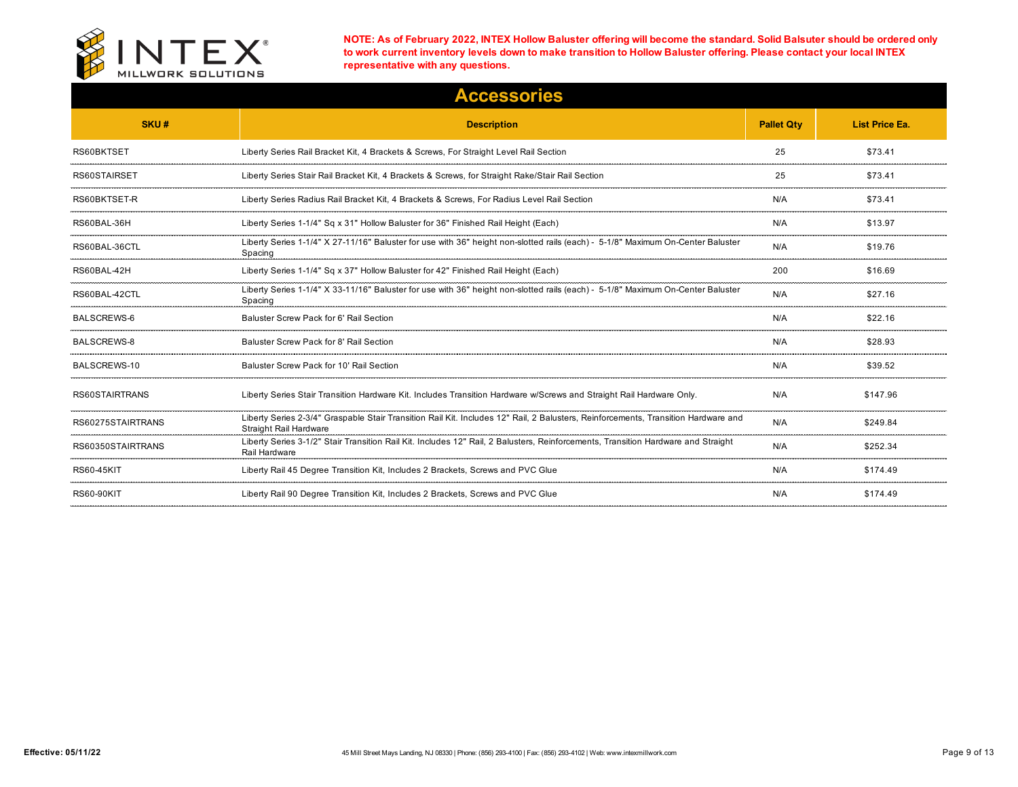

|                    | <b>Accessories</b>                                                                                                                                           |                   |                       |
|--------------------|--------------------------------------------------------------------------------------------------------------------------------------------------------------|-------------------|-----------------------|
| SKU#               | <b>Description</b>                                                                                                                                           | <b>Pallet Qty</b> | <b>List Price Ea.</b> |
| RS60BKTSET         | Liberty Series Rail Bracket Kit, 4 Brackets & Screws, For Straight Level Rail Section                                                                        | 25                | \$73.41               |
| RS60STAIRSET       | Liberty Series Stair Rail Bracket Kit, 4 Brackets & Screws, for Straight Rake/Stair Rail Section                                                             | 25                | \$73.41               |
| RS60BKTSET-R       | Liberty Series Radius Rail Bracket Kit, 4 Brackets & Screws, For Radius Level Rail Section                                                                   | N/A               | \$73.41               |
| RS60BAL-36H        | Liberty Series 1-1/4" Sq x 31" Hollow Baluster for 36" Finished Rail Height (Each)                                                                           | N/A               | \$13.97               |
| RS60BAL-36CTL      | Liberty Series 1-1/4" X 27-11/16" Baluster for use with 36" height non-slotted rails (each) - 5-1/8" Maximum On-Center Baluster<br>Spacing                   | N/A               | \$19.76               |
| RS60BAL-42H        | Liberty Series 1-1/4" Sq x 37" Hollow Baluster for 42" Finished Rail Height (Each)                                                                           | 200               | \$16.69               |
| RS60BAL-42CTL      | Liberty Series 1-1/4" X 33-11/16" Baluster for use with 36" height non-slotted rails (each) - 5-1/8" Maximum On-Center Baluster<br>Spacing                   | N/A               | \$27.16               |
| <b>BALSCREWS-6</b> | Baluster Screw Pack for 6' Rail Section                                                                                                                      | N/A               | \$22.16               |
| <b>BALSCREWS-8</b> | Baluster Screw Pack for 8' Rail Section                                                                                                                      | N/A               | \$28.93               |
| BALSCREWS-10       | Baluster Screw Pack for 10' Rail Section                                                                                                                     | N/A               | \$39.52               |
| RS60STAIRTRANS     | Liberty Series Stair Transition Hardware Kit. Includes Transition Hardware w/Screws and Straight Rail Hardware Only.                                         | N/A               | \$147.96              |
| RS60275STAIRTRANS  | Liberty Series 2-3/4" Graspable Stair Transition Rail Kit. Includes 12" Rail, 2 Balusters, Reinforcements, Transition Hardware and<br>Straight Rail Hardware | N/A               | \$249.84              |
| RS60350STAIRTRANS  | Liberty Series 3-1/2" Stair Transition Rail Kit. Includes 12" Rail, 2 Balusters, Reinforcements, Transition Hardware and Straight<br>Rail Hardware           | N/A               | \$252.34              |
| <b>RS60-45KIT</b>  | Liberty Rail 45 Degree Transition Kit, Includes 2 Brackets, Screws and PVC Glue                                                                              | N/A               | \$174.49              |
| <b>RS60-90KIT</b>  | Liberty Rail 90 Degree Transition Kit, Includes 2 Brackets, Screws and PVC Glue                                                                              | N/A               | \$174.49              |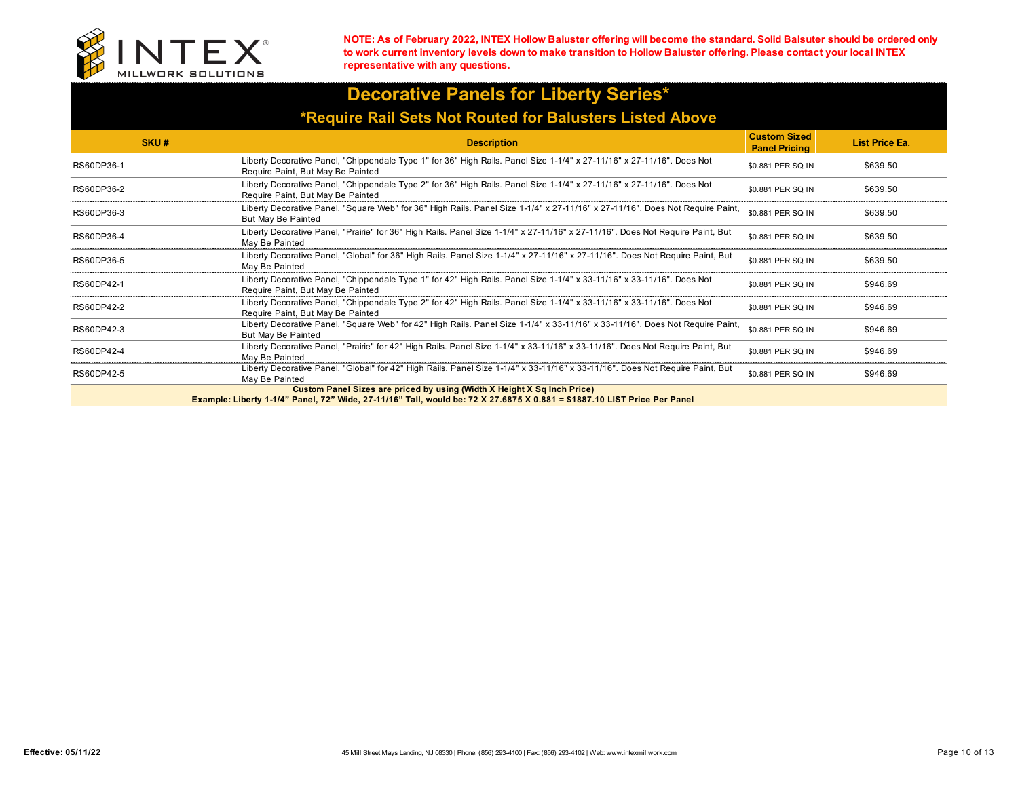

## **Decorative Panels for Liberty Series\* \*Require Rail Sets Not Routed for Balusters Listed Above**

| SKU#       | <b>Description</b>                                                                                                                                                                                | <b>Custom Sized</b><br><b>Panel Pricing</b> | <b>List Price Ea.</b> |
|------------|---------------------------------------------------------------------------------------------------------------------------------------------------------------------------------------------------|---------------------------------------------|-----------------------|
| RS60DP36-1 | Liberty Decorative Panel, "Chippendale Type 1" for 36" High Rails. Panel Size 1-1/4" x 27-11/16" x 27-11/16". Does Not<br>Require Paint, But May Be Painted                                       | \$0.881 PER SQ IN                           | \$639.50              |
| RS60DP36-2 | Liberty Decorative Panel, "Chippendale Type 2" for 36" High Rails. Panel Size 1-1/4" x 27-11/16" x 27-11/16". Does Not<br>Require Paint, But May Be Painted                                       | \$0.881 PER SO IN                           | \$639.50              |
| RS60DP36-3 | Liberty Decorative Panel, "Square Web" for 36" High Rails. Panel Size 1-1/4" x 27-11/16" x 27-11/16". Does Not Require Paint,<br>But May Be Painted                                               | \$0.881 PER SQ IN                           | \$639.50              |
| RS60DP36-4 | Liberty Decorative Panel, "Prairie" for 36" High Rails. Panel Size 1-1/4" x 27-11/16" x 27-11/16". Does Not Require Paint, But<br>May Be Painted                                                  | \$0.881 PER SO IN                           | \$639.50              |
| RS60DP36-5 | Liberty Decorative Panel, "Global" for 36" High Rails. Panel Size 1-1/4" x 27-11/16" x 27-11/16". Does Not Require Paint, But<br>May Be Painted                                                   | \$0.881 PER SO IN                           | \$639.50              |
| RS60DP42-1 | Liberty Decorative Panel, "Chippendale Type 1" for 42" High Rails. Panel Size 1-1/4" x 33-11/16" x 33-11/16". Does Not<br>Require Paint, But May Be Painted                                       | \$0.881 PER SO IN                           | \$946.69              |
| RS60DP42-2 | Liberty Decorative Panel, "Chippendale Type 2" for 42" High Rails. Panel Size 1-1/4" x 33-11/16" x 33-11/16". Does Not<br>Require Paint, But May Be Painted                                       | \$0.881 PER SO IN                           | \$946.69              |
| RS60DP42-3 | Liberty Decorative Panel, "Square Web" for 42" High Rails. Panel Size 1-1/4" x 33-11/16" x 33-11/16". Does Not Require Paint,<br>But May Be Painted                                               | \$0.881 PER SQ IN                           | \$946.69              |
| RS60DP42-4 | Liberty Decorative Panel, "Prairie" for 42" High Rails. Panel Size 1-1/4" x 33-11/16" x 33-11/16". Does Not Require Paint, But<br>May Be Painted                                                  | \$0.881 PER SQ IN                           | \$946.69              |
| RS60DP42-5 | Liberty Decorative Panel, "Global" for 42" High Rails. Panel Size 1-1/4" x 33-11/16" x 33-11/16". Does Not Require Paint, But<br>May Be Painted                                                   | \$0.881 PER SO IN                           | \$946.69              |
|            | Custom Panel Sizes are priced by using (Width X Height X Sq Inch Price)<br>Evening Liberty 4.4/4" Denal, 79" Wide, 27.44/40" Tell, would be 72 V 27 0075 V 0.004 = \$4007.40 LICT Dries Der Denal |                                             |                       |

**Example: Liberty 1-1/4" Panel, 72" Wide, 27-11/16" Tall, would be: 72 X 27.6875 X 0.881 = \$1887.10 LIST Price Per Panel**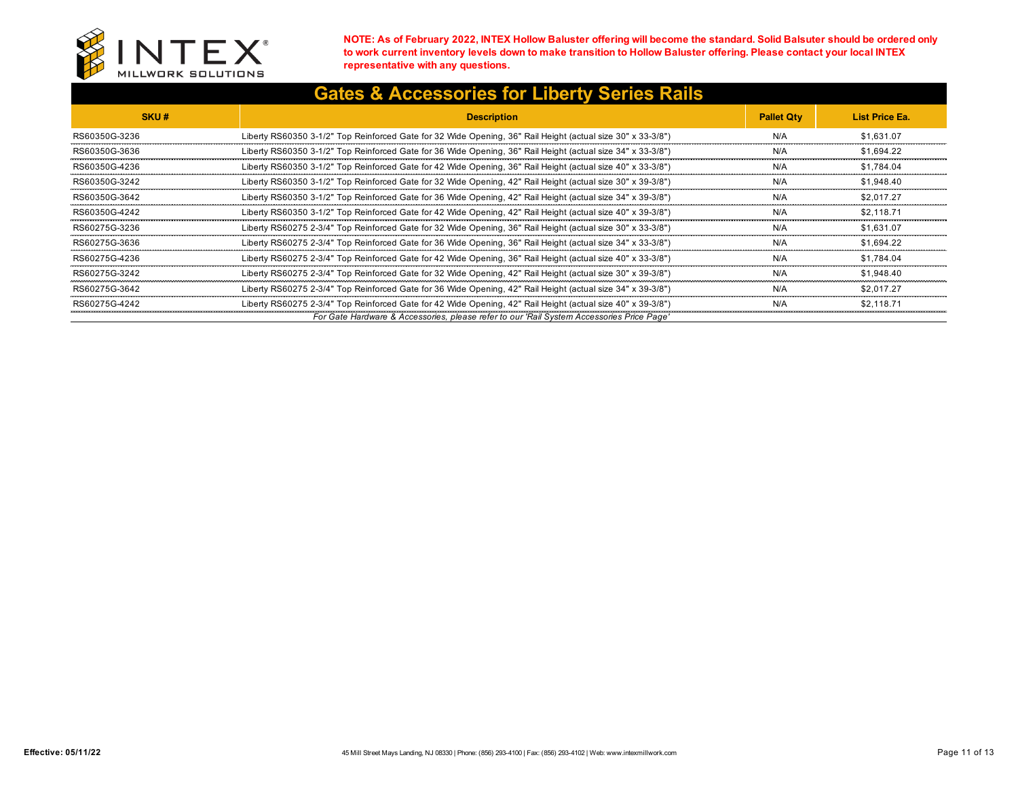

| <b>Gates &amp; Accessories for Liberty Series Rails</b> |
|---------------------------------------------------------|
|---------------------------------------------------------|

| SKU#          | <b>Description</b>                                                                                          | <b>Pallet Qtv</b> | List Price Ea. |
|---------------|-------------------------------------------------------------------------------------------------------------|-------------------|----------------|
| RS60350G-3236 | Liberty RS60350 3-1/2" Top Reinforced Gate for 32 Wide Opening, 36" Rail Height (actual size 30" x 33-3/8") | N/A               | \$1.631.07     |
| RS60350G-3636 | Liberty RS60350 3-1/2" Top Reinforced Gate for 36 Wide Opening, 36" Rail Height (actual size 34" x 33-3/8") | N/A               | \$1.694.22     |
| RS60350G-4236 | Liberty RS60350 3-1/2" Top Reinforced Gate for 42 Wide Opening, 36" Rail Height (actual size 40" x 33-3/8") | N/A               | \$1.784.04     |
| RS60350G-3242 | Liberty RS60350 3-1/2" Top Reinforced Gate for 32 Wide Opening, 42" Rail Height (actual size 30" x 39-3/8") | N/A               | \$1.948.40     |
| RS60350G-3642 | Liberty RS60350 3-1/2" Top Reinforced Gate for 36 Wide Opening, 42" Rail Height (actual size 34" x 39-3/8") | N/A               | \$2.017.27     |
| RS60350G-4242 | Liberty RS60350 3-1/2" Top Reinforced Gate for 42 Wide Opening, 42" Rail Height (actual size 40" x 39-3/8") | N/A               | \$2.118.71     |
| RS60275G-3236 | Liberty RS60275 2-3/4" Top Reinforced Gate for 32 Wide Opening, 36" Rail Height (actual size 30" x 33-3/8") | N/A               | \$1.631.07     |
| RS60275G-3636 | Liberty RS60275 2-3/4" Top Reinforced Gate for 36 Wide Opening, 36" Rail Height (actual size 34" x 33-3/8") | N/A               | \$1.694.22     |
| RS60275G-4236 | Liberty RS60275 2-3/4" Top Reinforced Gate for 42 Wide Opening, 36" Rail Height (actual size 40" x 33-3/8") | N/A               | \$1.784.04     |
| RS60275G-3242 | Liberty RS60275 2-3/4" Top Reinforced Gate for 32 Wide Opening, 42" Rail Height (actual size 30" x 39-3/8") | N/A               | \$1,948.40     |
| RS60275G-3642 | Liberty RS60275 2-3/4" Top Reinforced Gate for 36 Wide Opening, 42" Rail Height (actual size 34" x 39-3/8") | N/A               | \$2.017.27     |
| RS60275G-4242 | Liberty RS60275 2-3/4" Top Reinforced Gate for 42 Wide Opening, 42" Rail Height (actual size 40" x 39-3/8"  | N/A               | \$2.118.71     |
|               | For Gate Hardware & Accessories, please refer to our 'Rail System Accessories Price Page'                   |                   |                |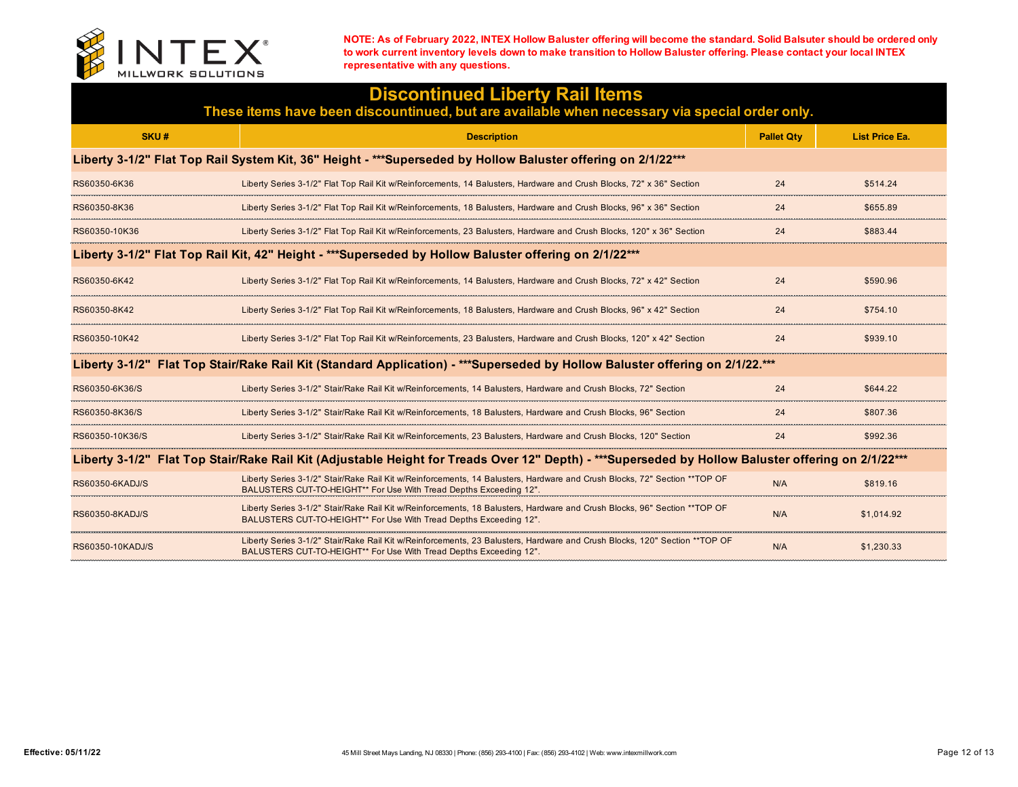

| <b>Discontinued Liberty Rail Items</b><br>These items have been discountinued, but are available when necessary via special order only.            |                                                                                                                                                                                                  |                   |                       |  |  |
|----------------------------------------------------------------------------------------------------------------------------------------------------|--------------------------------------------------------------------------------------------------------------------------------------------------------------------------------------------------|-------------------|-----------------------|--|--|
| SKU#                                                                                                                                               | <b>Description</b>                                                                                                                                                                               | <b>Pallet Qty</b> | <b>List Price Ea.</b> |  |  |
| Liberty 3-1/2" Flat Top Rail System Kit, 36" Height - ***Superseded by Hollow Baluster offering on 2/1/22***                                       |                                                                                                                                                                                                  |                   |                       |  |  |
| RS60350-6K36                                                                                                                                       | Liberty Series 3-1/2" Flat Top Rail Kit w/Reinforcements, 14 Balusters, Hardware and Crush Blocks, 72" x 36" Section                                                                             | 24                | \$514.24              |  |  |
| RS60350-8K36                                                                                                                                       | Liberty Series 3-1/2" Flat Top Rail Kit w/Reinforcements, 18 Balusters, Hardware and Crush Blocks, 96" x 36" Section                                                                             | 24                | \$655.89              |  |  |
| RS60350-10K36                                                                                                                                      | Liberty Series 3-1/2" Flat Top Rail Kit w/Reinforcements, 23 Balusters, Hardware and Crush Blocks, 120" x 36" Sectior                                                                            | 24                | \$883.44              |  |  |
| Liberty 3-1/2" Flat Top Rail Kit, 42" Height - ***Superseded by Hollow Baluster offering on 2/1/22***                                              |                                                                                                                                                                                                  |                   |                       |  |  |
| RS60350-6K42                                                                                                                                       | Liberty Series 3-1/2" Flat Top Rail Kit w/Reinforcements, 14 Balusters, Hardware and Crush Blocks, 72" x 42" Section                                                                             | 24                | \$590.96              |  |  |
| RS60350-8K42                                                                                                                                       | Liberty Series 3-1/2" Flat Top Rail Kit w/Reinforcements, 18 Balusters, Hardware and Crush Blocks, 96" x 42" Section                                                                             | 24                | \$754.10              |  |  |
| RS60350-10K42                                                                                                                                      | Liberty Series 3-1/2" Flat Top Rail Kit w/Reinforcements, 23 Balusters, Hardware and Crush Blocks, 120" x 42" Section                                                                            | 24                | \$939.10              |  |  |
| Liberty 3-1/2"  Flat Top Stair/Rake Rail Kit (Standard Application) - ***Superseded by Hollow Baluster offering on 2/1/22.***                      |                                                                                                                                                                                                  |                   |                       |  |  |
| RS60350-6K36/S                                                                                                                                     | Liberty Series 3-1/2" Stair/Rake Rail Kit w/Reinforcements, 14 Balusters, Hardware and Crush Blocks, 72" Section                                                                                 | 24                | \$644.22              |  |  |
| RS60350-8K36/S                                                                                                                                     | Liberty Series 3-1/2" Stair/Rake Rail Kit w/Reinforcements, 18 Balusters, Hardware and Crush Blocks, 96" Section                                                                                 | 24                | \$807.36              |  |  |
| RS60350-10K36/S                                                                                                                                    | Liberty Series 3-1/2" Stair/Rake Rail Kit w/Reinforcements, 23 Balusters, Hardware and Crush Blocks, 120" Section                                                                                | 24                | \$992.36              |  |  |
| Liberty 3-1/2" Flat Top Stair/Rake Rail Kit (Adjustable Height for Treads Over 12" Depth) - ***Superseded by Hollow Baluster offering on 2/1/22*** |                                                                                                                                                                                                  |                   |                       |  |  |
| RS60350-6KADJ/S                                                                                                                                    | Liberty Series 3-1/2" Stair/Rake Rail Kit w/Reinforcements, 14 Balusters, Hardware and Crush Blocks, 72" Section ** TOP OF<br>BALUSTERS CUT-TO-HEIGHT** For Use With Tread Depths Exceeding 12". | N/A               | \$819.16              |  |  |
| RS60350-8KADJ/S                                                                                                                                    | Liberty Series 3-1/2" Stair/Rake Rail Kit w/Reinforcements, 18 Balusters, Hardware and Crush Blocks, 96" Section **TOP OF<br>BALUSTERS CUT-TO-HEIGHT** For Use With Tread Depths Exceeding 12".  | N/A               | \$1,014.92            |  |  |
| RS60350-10KADJ/S                                                                                                                                   | Liberty Series 3-1/2" Stair/Rake Rail Kit w/Reinforcements, 23 Balusters, Hardware and Crush Blocks, 120" Section **TOP OF<br>BALUSTERS CUT-TO-HEIGHT** For Use With Tread Depths Exceeding 12". | N/A               | \$1,230.33            |  |  |